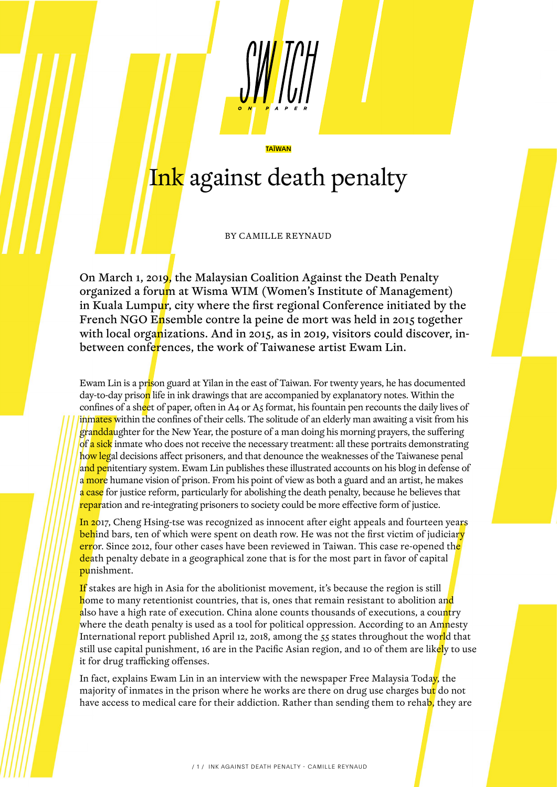## Ink against death penalty

TAÏWAN

BY CAMILLE REYNAUD

On March 1, 2019, the Malaysian Coalition Against the Death Penalty organized a forum at Wisma WIM (Women's Institute of Management) in Kuala Lumpur, city where the first regional Conference initiated by the French NGO Ensemble contre la peine de mort was held in 2015 together with local organizations. And in 2015, as in 2019, visitors could discover, inbetween conferences, the work of Taiwanese artist Ewam Lin.

Ewam Lin is a pr<mark>is</mark>on guard at Yilan in the east of Taiwan. For twenty years, he has documented day-to-day prison life in ink drawings that are accompanied by explanatory notes. Within the confines of a sheet of paper, often in A4 or A5 format, his fountain pen recounts the daily lives of inmates within the confines of their cells. The solitude of an elderly man awaiting a visit from his granddaughter for the New Year, the posture of a man doing his morning prayers, the suffering of a sick inmate who does not receive the necessary treatment: all these portraits demonstrating how legal decisions affect prisoners, and that denounce the weaknesses of the Taiwanese penal and penitentiary system. Ewam Lin publishes these illustrated accounts on his blog in defense of a more humane vision of prison. From his point of view as both a guard and an artist, he makes a case for justice reform, particularly for abolishing the death penalty, because he believes that reparation and re-integrating prisoners to society could be more effective form of justice.

In 2017, Cheng Hsing-tse was recognized as innocent after eight appeals and fourteen years behind bars, ten of which were spent on death row. He was not the first victim of judiciary error. Since 2012, four other cases have been reviewed in Taiwan. This case re-opened th<mark>e</mark> death penalty debate in a geographical zone that is for the most part in favor of capital punishment.

If stakes are high in Asia for the abolitionist movement, it's because the region is still home to many retentionist countries, that is, ones that remain resistant to abolition and also have a high rate of execution. China alone counts thousands of executions, a country where the death penalty is used as a tool for political oppression. According to an Amnesty International report published April 12, 2018, among the 55 states throughout the world that still use capital punishment, 16 are in the Pacific Asian region, and 10 of them are likely to use it for drug trafficking offenses.

In fact, explains Ewam Lin in an interview with the newspaper Free Malaysia Today, the majority of inmates in the prison where he works are there on drug use charges but do not have access to medical care for their addiction. Rather than sending them to rehab, they are